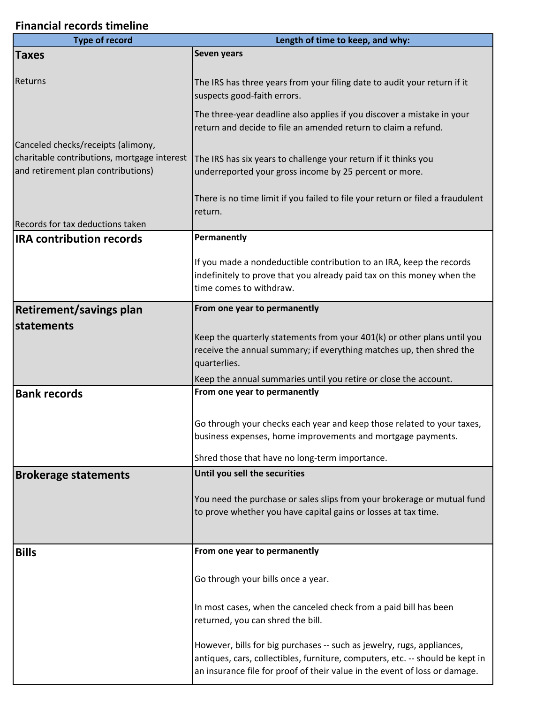## **Financial records timeline**

ı

| <b>Type of record</b>                                                             | Length of time to keep, and why:                                                                                                                                                                                                      |
|-----------------------------------------------------------------------------------|---------------------------------------------------------------------------------------------------------------------------------------------------------------------------------------------------------------------------------------|
| <b>Taxes</b>                                                                      | Seven years                                                                                                                                                                                                                           |
| Returns                                                                           | The IRS has three years from your filing date to audit your return if it<br>suspects good-faith errors.                                                                                                                               |
|                                                                                   | The three-year deadline also applies if you discover a mistake in your<br>return and decide to file an amended return to claim a refund.                                                                                              |
| Canceled checks/receipts (alimony,                                                |                                                                                                                                                                                                                                       |
| charitable contributions, mortgage interest<br>and retirement plan contributions) | The IRS has six years to challenge your return if it thinks you<br>underreported your gross income by 25 percent or more.                                                                                                             |
|                                                                                   | There is no time limit if you failed to file your return or filed a fraudulent<br>return.                                                                                                                                             |
| Records for tax deductions taken                                                  |                                                                                                                                                                                                                                       |
| <b>IRA contribution records</b>                                                   | Permanently                                                                                                                                                                                                                           |
|                                                                                   | If you made a nondeductible contribution to an IRA, keep the records<br>indefinitely to prove that you already paid tax on this money when the<br>time comes to withdraw.                                                             |
| <b>Retirement/savings plan</b>                                                    | From one year to permanently                                                                                                                                                                                                          |
| statements                                                                        |                                                                                                                                                                                                                                       |
|                                                                                   | Keep the quarterly statements from your 401(k) or other plans until you<br>receive the annual summary; if everything matches up, then shred the<br>quarterlies.                                                                       |
|                                                                                   | Keep the annual summaries until you retire or close the account.                                                                                                                                                                      |
| <b>Bank records</b>                                                               | From one year to permanently                                                                                                                                                                                                          |
|                                                                                   |                                                                                                                                                                                                                                       |
|                                                                                   | Go through your checks each year and keep those related to your taxes,                                                                                                                                                                |
|                                                                                   | business expenses, home improvements and mortgage payments.                                                                                                                                                                           |
|                                                                                   | Shred those that have no long-term importance.                                                                                                                                                                                        |
| <b>Brokerage statements</b>                                                       | Until you sell the securities                                                                                                                                                                                                         |
|                                                                                   | You need the purchase or sales slips from your brokerage or mutual fund                                                                                                                                                               |
|                                                                                   | to prove whether you have capital gains or losses at tax time.                                                                                                                                                                        |
|                                                                                   |                                                                                                                                                                                                                                       |
|                                                                                   |                                                                                                                                                                                                                                       |
| <b>Bills</b>                                                                      | From one year to permanently                                                                                                                                                                                                          |
|                                                                                   | Go through your bills once a year.                                                                                                                                                                                                    |
|                                                                                   | In most cases, when the canceled check from a paid bill has been<br>returned, you can shred the bill.                                                                                                                                 |
|                                                                                   | However, bills for big purchases -- such as jewelry, rugs, appliances,<br>antiques, cars, collectibles, furniture, computers, etc. -- should be kept in<br>an insurance file for proof of their value in the event of loss or damage. |